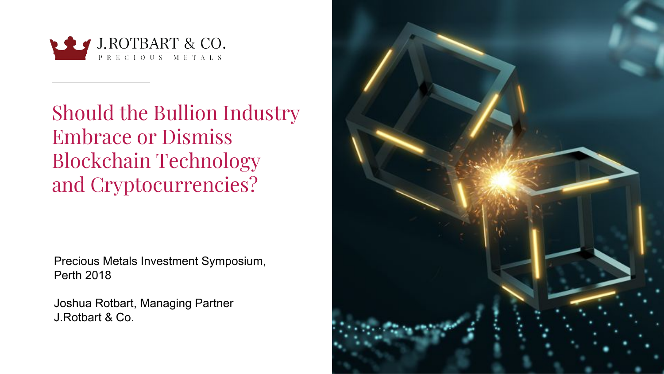

Should the Bullion Industry Embrace or Dismiss Blockchain Technology and Cryptocurrencies?

Precious Metals Investment Symposium, Perth 2018

Joshua Rotbart, Managing Partner J.Rotbart & Co.

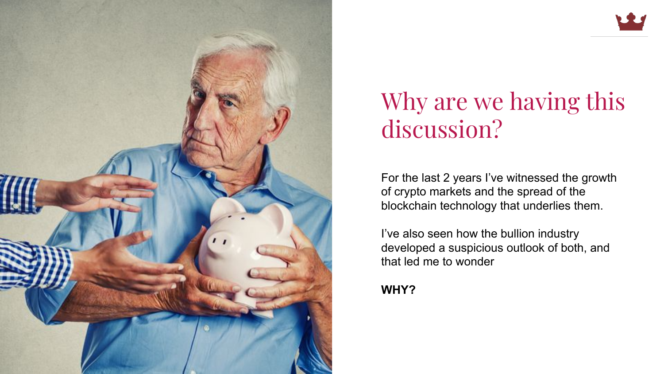

## Why are we having this discussion?

For the last 2 years I've witnessed the growth of crypto markets and the spread of the blockchain technology that underlies them.

I've also seen how the bullion industry developed a suspicious outlook of both, and that led me to wonder

**WHY?**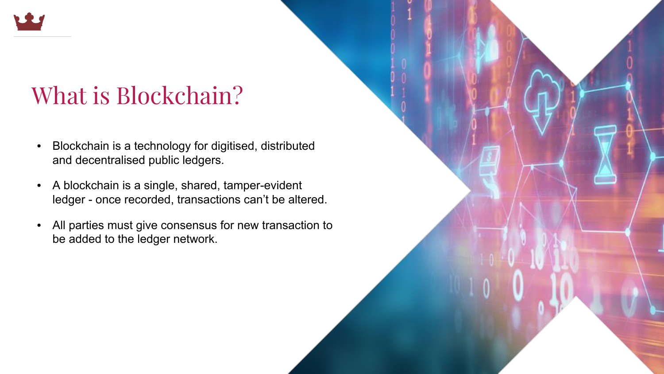

## What is Blockchain?

- Blockchain is a technology for digitised, distributed and decentralised public ledgers.
- A blockchain is a single, shared, tamper-evident ledger - once recorded, transactions can't be altered.
- All parties must give consensus for new transaction to be added to the ledger network.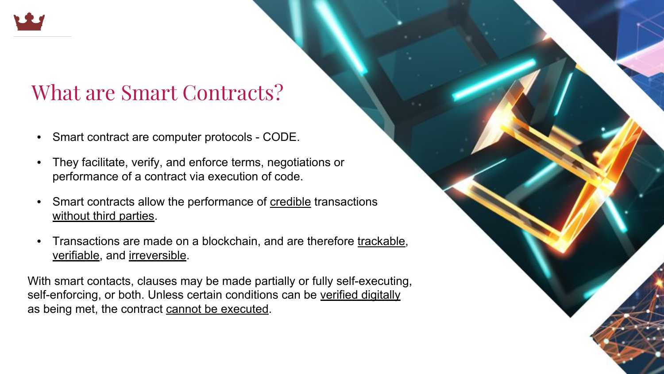

#### What are Smart Contracts?

- Smart contract are computer protocols CODE.
- They facilitate, verify, and enforce terms, negotiations or performance of a contract via execution of code.
- Smart contracts allow the performance of **credible** transactions without third parties.
- Transactions are made on a blockchain, and are therefore trackable, verifiable, and irreversible.

With smart contacts, clauses may be made partially or fully self-executing, self-enforcing, or both. Unless certain conditions can be verified digitally as being met, the contract cannot be executed.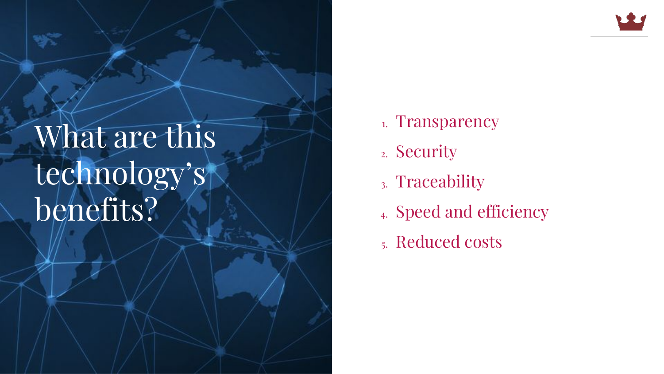## What are this technology's benefits?

- 1. Transparency
- 2. Security
- 3. Traceability
- 4. Speed and efficiency
- 5. Reduced costs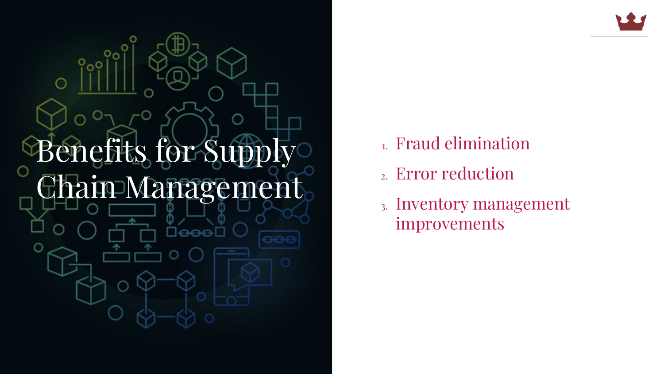

- 1. Fraud elimination
- 2. Error reduction
- 3. Inventory management improvements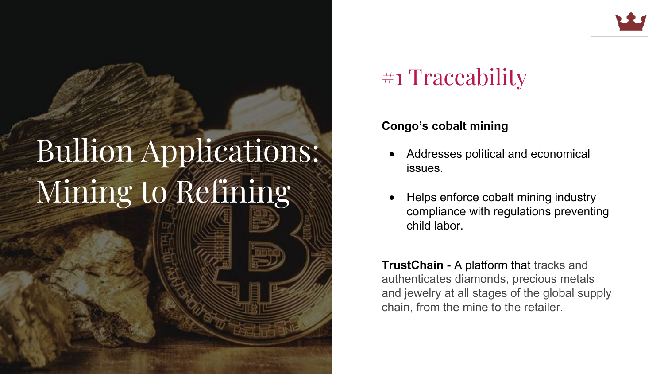# Bullion Applications: Mining to Refining

#### #1 Traceability

#### **Congo's cobalt mining**

- Addresses political and economical issues.
- Helps enforce cobalt mining industry compliance with regulations preventing child labor.

**TrustChain** - A platform that tracks and authenticates diamonds, precious metals and jewelry at all stages of the global supply chain, from the mine to the retailer.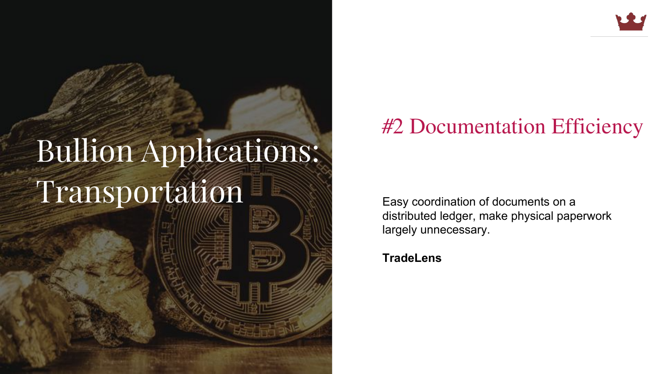

#### Bumon Application Transportation **Easy coordination of documents on a** Bullion Applications:

#### #2 Documentation Efficiency

distributed ledger, make physical paperwork largely unnecessary.

**TradeLens**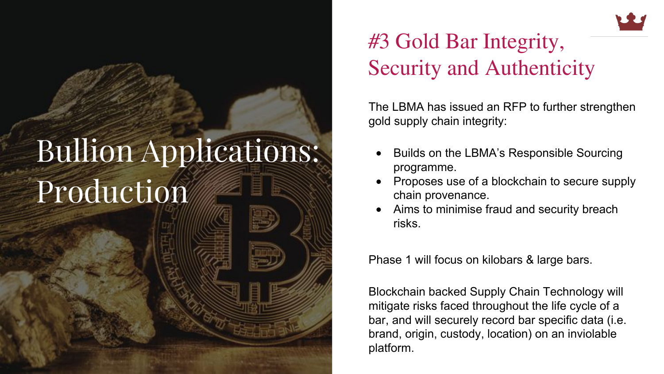#### Bumon Application Production **Production** Bullion Applications:

#### #3 Gold Bar Integrity, Security and Authenticity

The LBMA has issued an RFP to further strengthen gold supply chain integrity:

- Builds on the LBMA's Responsible Sourcing programme.
- Proposes use of a blockchain to secure supply chain provenance.
- Aims to minimise fraud and security breach risks.

Phase 1 will focus on kilobars & large bars.

Blockchain backed Supply Chain Technology will mitigate risks faced throughout the life cycle of a bar, and will securely record bar specific data (i.e. brand, origin, custody, location) on an inviolable platform.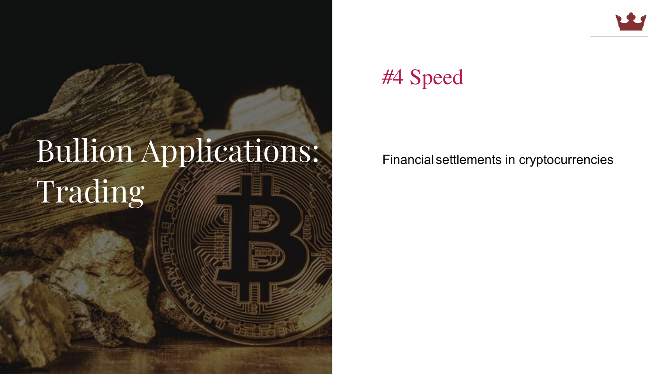#### Bumon Application Trading **Chain and September** Bullion Applications: Financial settlements in cryptocurrencies

#### #4 Speed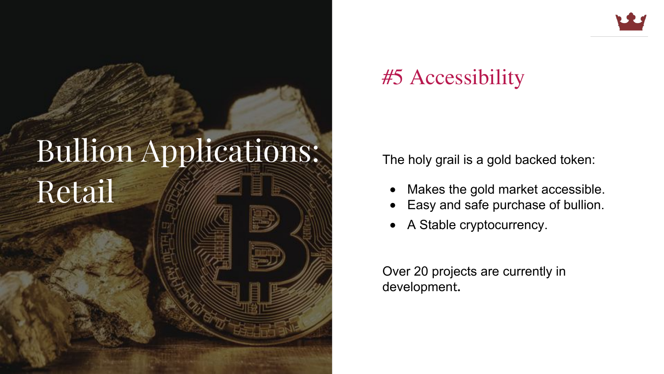#### Bumon Application Retail *Ma* Bullion Applications:

#### #5 Accessibility

The holy grail is a gold backed token:

- Makes the gold market accessible.
- Easy and safe purchase of bullion.
- A Stable cryptocurrency.

Over 20 projects are currently in development**.**

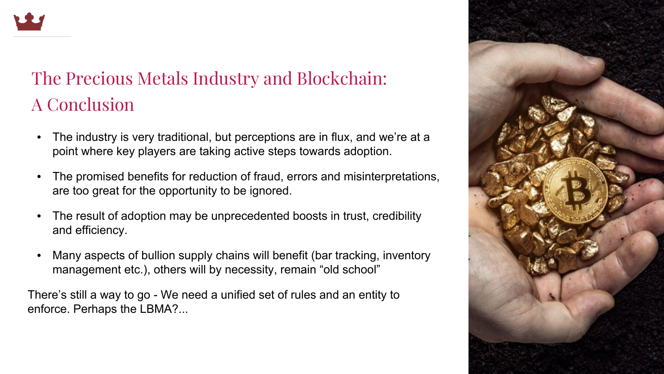

#### The Precious Metals Industry and Blockchain: A Conclusion

- The industry is very traditional, but perceptions are in flux, and we're at a point where key players are taking active steps towards adoption.
- The promised benefits for reduction of fraud, errors and misinterpretations, are too great for the opportunity to be ignored.
- The result of adoption may be unprecedented boosts in trust, credibility and efficiency.
- Many aspects of bullion supply chains will benefit (bar tracking, inventory management etc.), others will by necessity, remain "old school"

There's still a way to go - We need a unified set of rules and an entity to enforce. Perhaps the LBMA?...